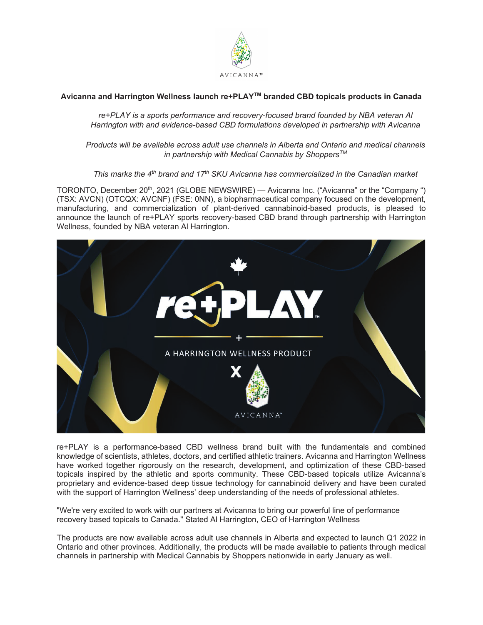

# **Avicanna and Harrington Wellness launch re+PLAYTM branded CBD topicals products in Canada**

*re+PLAY is a sports performance and recovery-focused brand founded by NBA veteran Al Harrington with and evidence-based CBD formulations developed in partnership with Avicanna* 

*Products will be available across adult use channels in Alberta and Ontario and medical channels in partnership with Medical Cannabis by ShoppersTM*

*This marks the 4th brand and 17th SKU Avicanna has commercialized in the Canadian market*

TORONTO, December 20th, 2021 (GLOBE NEWSWIRE) — Avicanna Inc. ("Avicanna" or the "Company ") (TSX: AVCN) (OTCQX: AVCNF) (FSE: 0NN), a biopharmaceutical company focused on the development, manufacturing, and commercialization of plant-derived cannabinoid-based products, is pleased to announce the launch of re+PLAY sports recovery-based CBD brand through partnership with Harrington Wellness, founded by NBA veteran Al Harrington.



re+PLAY is a performance-based CBD wellness brand built with the fundamentals and combined knowledge of scientists, athletes, doctors, and certified athletic trainers. Avicanna and Harrington Wellness have worked together rigorously on the research, development, and optimization of these CBD-based topicals inspired by the athletic and sports community. These CBD-based topicals utilize Avicanna's proprietary and evidence-based deep tissue technology for cannabinoid delivery and have been curated with the support of Harrington Wellness' deep understanding of the needs of professional athletes.

"We're very excited to work with our partners at Avicanna to bring our powerful line of performance recovery based topicals to Canada." Stated Al Harrington, CEO of Harrington Wellness

The products are now available across adult use channels in Alberta and expected to launch Q1 2022 in Ontario and other provinces. Additionally, the products will be made available to patients through medical channels in partnership with Medical Cannabis by Shoppers nationwide in early January as well.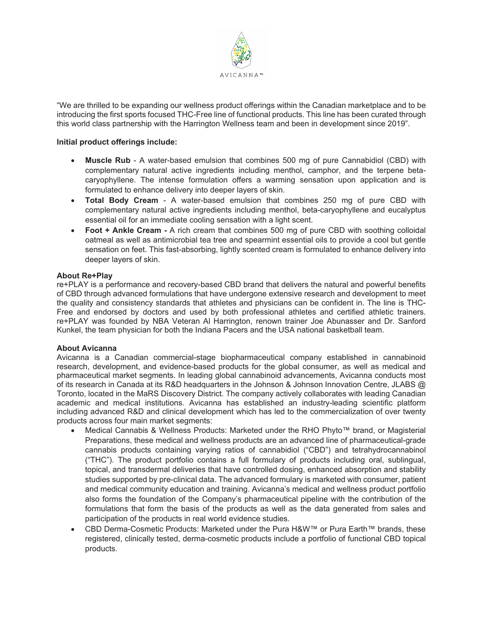

"We are thrilled to be expanding our wellness product offerings within the Canadian marketplace and to be introducing the first sports focused THC-Free line of functional products. This line has been curated through this world class partnership with the Harrington Wellness team and been in development since 2019".

## **Initial product offerings include:**

- **Muscle Rub** A water-based emulsion that combines 500 mg of pure Cannabidiol (CBD) with complementary natural active ingredients including menthol, camphor, and the terpene betacaryophyllene. The intense formulation offers a warming sensation upon application and is formulated to enhance delivery into deeper layers of skin.
- **Total Body Cream** A water-based emulsion that combines 250 mg of pure CBD with complementary natural active ingredients including menthol, beta-caryophyllene and eucalyptus essential oil for an immediate cooling sensation with a light scent.
- **Foot + Ankle Cream -** A rich cream that combines 500 mg of pure CBD with soothing colloidal oatmeal as well as antimicrobial tea tree and spearmint essential oils to provide a cool but gentle sensation on feet. This fast-absorbing, lightly scented cream is formulated to enhance delivery into deeper layers of skin.

#### **About Re+Play**

re+PLAY is a performance and recovery-based CBD brand that delivers the natural and powerful benefits of CBD through advanced formulations that have undergone extensive research and development to meet the quality and consistency standards that athletes and physicians can be confident in. The line is THC-Free and endorsed by doctors and used by both professional athletes and certified athletic trainers. re+PLAY was founded by NBA Veteran Al Harrington, renown trainer Joe Abunasser and Dr. Sanford Kunkel, the team physician for both the Indiana Pacers and the USA national basketball team.

#### **About Avicanna**

Avicanna is a Canadian commercial-stage biopharmaceutical company established in cannabinoid research, development, and evidence-based products for the global consumer, as well as medical and pharmaceutical market segments. In leading global cannabinoid advancements, Avicanna conducts most of its research in Canada at its R&D headquarters in the Johnson & Johnson Innovation Centre, JLABS @ Toronto, located in the MaRS Discovery District. The company actively collaborates with leading Canadian academic and medical institutions. Avicanna has established an industry-leading scientific platform including advanced R&D and clinical development which has led to the commercialization of over twenty products across four main market segments:

- Medical Cannabis & Wellness Products: Marketed under the RHO Phyto™ brand, or Magisterial Preparations, these medical and wellness products are an advanced line of pharmaceutical-grade cannabis products containing varying ratios of cannabidiol ("CBD") and tetrahydrocannabinol ("THC"). The product portfolio contains a full formulary of products including oral, sublingual, topical, and transdermal deliveries that have controlled dosing, enhanced absorption and stability studies supported by pre-clinical data. The advanced formulary is marketed with consumer, patient and medical community education and training. Avicanna's medical and wellness product portfolio also forms the foundation of the Company's pharmaceutical pipeline with the contribution of the formulations that form the basis of the products as well as the data generated from sales and participation of the products in real world evidence studies.
- x CBD Derma-Cosmetic Products: Marketed under the Pura H&W™ or Pura Earth™ brands, these registered, clinically tested, derma-cosmetic products include a portfolio of functional CBD topical products.